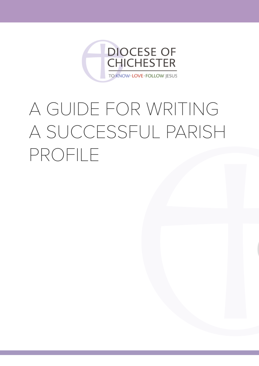

# A GUIDE FOR WRITING A SUCCESSFUL PARISH PROFILE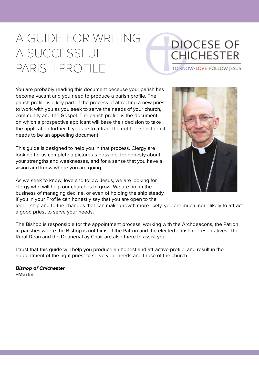# A GUIDE FOR WRITING A SUCCESSFUL PARISH PROFILE

# **DIOCESE OF CHICHESTER**

TO KNOW-LOVE-FOLLOW IESUS

You are probably reading this document because your parish has become vacant and you need to produce a parish profile. The parish profile is a key part of the process of attracting a new priest to work with you as you seek to serve the needs of your church, community and the Gospel. The parish profile is the document on which a prospective applicant will base their decision to take the application further. If you are to attract the right person, then it needs to be an appealing document.

This guide is designed to help you in that process. Clergy are looking for as complete a picture as possible, for honesty about your strengths and weaknesses, and for a sense that you have a vision and know where you are going.

As we seek to know, love and follow Jesus, we are looking for clergy who will help our churches to grow. We are not in the business of managing decline, or even of holding the ship steady. If you in your Profile can honestly say that you are open to the



leadership and to the changes that can make growth more likely, you are much more likely to attract a good priest to serve your needs.

The Bishop is responsible for the appointment process, working with the Archdeacons, the Patron in parishes where the Bishop is not himself the Patron and the elected parish representatives. The Rural Dean and the Deanery Lay Chair are also there to assist you.

I trust that this guide will help you produce an honest and attractive profile, and result in the appointment of the right priest to serve your needs and those of the church.

*Bishop of Chichester* **+Martin**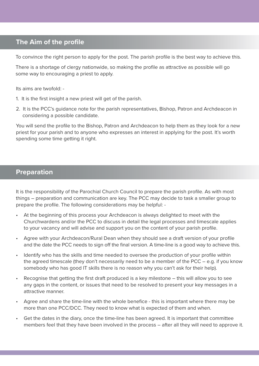# **The Aim of the profile**

To convince the right person to apply for the post. The parish profile is the best way to achieve this.

There is a shortage of clergy nationwide, so making the profile as attractive as possible will go some way to encouraging a priest to apply.

Its aims are twofold: -

- 1. It is the first insight a new priest will get of the parish.
- 2. It is the PCC's guidance note for the parish representatives, Bishop, Patron and Archdeacon in considering a possible candidate.

You will send the profile to the Bishop, Patron and Archdeacon to help them as they look for a new priest for your parish and to anyone who expresses an interest in applying for the post. It's worth spending some time getting it right.

#### **Preparation**

It is the responsibility of the Parochial Church Council to prepare the parish profile. As with most things – preparation and communication are key. The PCC may decide to task a smaller group to prepare the profile. The following considerations may be helpful: -

- At the beginning of this process your Archdeacon is always delighted to meet with the Churchwardens and/or the PCC to discuss in detail the legal processes and timescale applies to your vacancy and will advise and support you on the content of your parish profile.
- Agree with your Archdeacon/Rural Dean when they should see a draft version of your profile and the date the PCC needs to sign off the final version. A time-line is a good way to achieve this.
- Identify who has the skills and time needed to oversee the production of your profile within the agreed timescale (they don't necessarily need to be a member of the PCC – e.g. if you know somebody who has good IT skills there is no reason why you can't ask for their help).
- Recognise that getting the first draft produced is a key milestone this will allow you to see any gaps in the content, or issues that need to be resolved to present your key messages in a attractive manner.
- Agree and share the time-line with the whole benefice this is important where there may be more than one PCC/DCC. They need to know what is expected of them and when.
- Get the dates in the diary, once the time-line has been agreed. It is important that committee members feel that they have been involved in the process – after all they will need to approve it.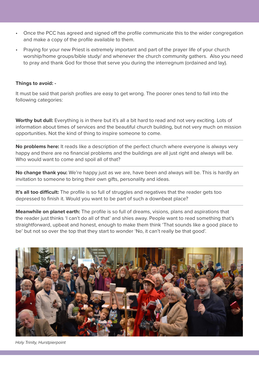- Once the PCC has agreed and signed off the profile communicate this to the wider congregation and make a copy of the profile available to them.
- Praying for your new Priest is extremely important and part of the prayer life of your church worship/home groups/bible study/ and whenever the church community gathers. Also you need to pray and thank God for those that serve you during the interregnum (ordained and lay).

#### **Things to avoid: -**

It must be said that parish profiles are easy to get wrong. The poorer ones tend to fall into the following categories:

**Worthy but dull:** Everything is in there but it's all a bit hard to read and not very exciting. Lots of information about times of services and the beautiful church building, but not very much on mission opportunities. Not the kind of thing to inspire someone to come.

**No problems here:** It reads like a description of the perfect church where everyone is always very happy and there are no financial problems and the buildings are all just right and always will be. Who would want to come and spoil all of that?

**No change thank you:** We're happy just as we are, have been and always will be. This is hardly an invitation to someone to bring their own gifts, personality and ideas.

It's all too difficult: The profile is so full of struggles and negatives that the reader gets too depressed to finish it. Would you want to be part of such a downbeat place?

**Meanwhile on planet earth:** The profile is so full of dreams, visions, plans and aspirations that the reader just thinks 'I can't do all of that' and shies away. People want to read something that's straightforward, upbeat and honest, enough to make them think 'That sounds like a good place to be' but not so over the top that they start to wonder 'No, it can't really be that good'.



Holy Trinity, Hurstpierpoint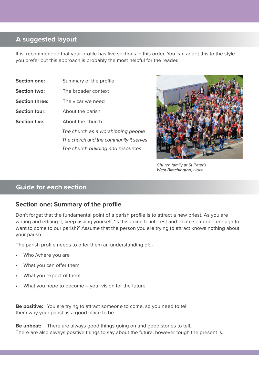# **A suggested layout**

It is recommended that your profile has five sections in this order. You can adapt this to the style you prefer but this approach is probably the most helpful for the reader.

| <b>Section one:</b>   | Summary of the profile                 |
|-----------------------|----------------------------------------|
| <b>Section two:</b>   | The broader context                    |
| <b>Section three:</b> | The vicar we need                      |
| <b>Section four:</b>  | About the parish                       |
| <b>Section five:</b>  | About the church                       |
|                       | The church as a worshipping people     |
|                       | The church and the community it serves |
|                       | The church building and resources      |
|                       |                                        |



Church family at St Peter's West Blatchington, Hove

## **Guide for each section**

#### **Section one: Summary of the profile**

Don't forget that the fundamental point of a parish profile is to attract a new priest. As you are writing and editing it, keep asking yourself, 'Is this going to interest and excite someone enough to want to come to our parish?' Assume that the person you are trying to attract knows nothing about your parish.

The parish profile needs to offer them an understanding of: -

- Who /where you are
- What you can offer them
- What you expect of them
- What you hope to become  $-$  your vision for the future

**Be positive:** You are trying to attract someone to come, so you need to tell them why your parish is a good place to be.

**Be upbeat:** There are always good things going on and good stories to tell. There are also always positive things to say about the future, however tough the present is.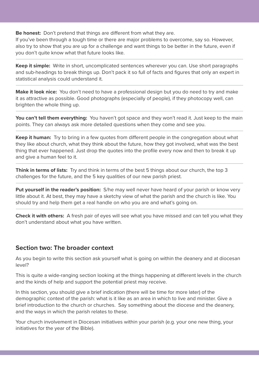**Be honest:** Don't pretend that things are different from what they are.

If you've been through a tough time or there are major problems to overcome, say so. However, also try to show that you are up for a challenge and want things to be better in the future, even if you don't quite know what that future looks like.

**Keep it simple:** Write in short, uncomplicated sentences wherever you can. Use short paragraphs and sub-headings to break things up. Don't pack it so full of facts and figures that only an expert in statistical analysis could understand it.

**Make it look nice:** You don't need to have a professional design but you do need to try and make it as attractive as possible. Good photographs (especially of people), if they photocopy well, can brighten the whole thing up.

**You can't tell them everything:** You haven't got space and they won't read it. Just keep to the main points. They can always ask more detailed questions when they come and see you.

**Keep it human:** Try to bring in a few quotes from different people in the congregation about what they like about church, what they think about the future, how they got involved, what was the best thing that ever happened. Just drop the quotes into the profile every now and then to break it up and give a human feel to it.

**Think in terms of lists:** Try and think in terms of the best 5 things about our church, the top 3 challenges for the future, and the 5 key qualities of our new parish priest.

**Put yourself in the reader's position:** S/he may well never have heard of your parish or know very little about it. At best, they may have a sketchy view of what the parish and the church is like. You should try and help them get a real handle on who you are and what's going on.

**Check it with others:** A fresh pair of eyes will see what you have missed and can tell you what they don't understand about what you have written.

#### **Section two: The broader context**

As you begin to write this section ask yourself what is going on within the deanery and at diocesan level?

This is quite a wide-ranging section looking at the things happening at different levels in the church and the kinds of help and support the potential priest may receive.

In this section, you should give a brief indication (there will be time for more later) of the demographic context of the parish: what is it like as an area in which to live and minister. Give a brief introduction to the church or churches. Say something about the diocese and the deanery, and the ways in which the parish relates to these.

Your church involvement in Diocesan initiatives within your parish (e.g. your one new thing, your initiatives for the year of the Bible).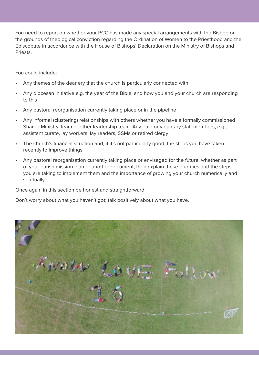You need to report on whether your PCC has made any special arrangements with the Bishop on the grounds of theological conviction regarding the Ordination of Women to the Priesthood and the Episcopate in accordance with the House of Bishops' Declaration on the Ministry of Bishops and Priests.

You could include:

- Any themes of the deanery that the church is particularly connected with
- Any diocesan initiative e.g. the year of the Bible, and how you and your church are responding to this
- Any pastoral reorganisation currently taking place or in the pipeline
- Any informal (clustering) relationships with others whether you have a formally commissioned Shared Ministry Team or other leadership team. Any paid or voluntary staff members, e.g., assistant curate, lay workers, lay readers, SSMs or retired clergy
- The church's financial situation and, if it's not particularly good, the steps you have taken recently to improve things
- Any pastoral reorganisation currently taking place or envisaged for the future, whether as part of your parish mission plan or another document, then explain these priorities and the steps you are taking to implement them and the importance of growing your church numerically and spiritually

Once again in this section be honest and straightforward.

Don't worry about what you haven't got; talk positively about what you have.

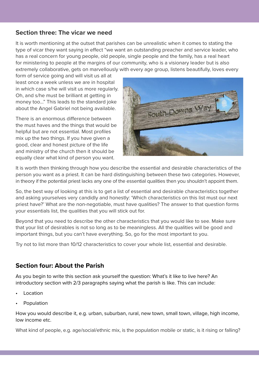### **Section three: The vicar we need**

It is worth mentioning at the outset that parishes can be unrealistic when it comes to stating the type of vicar they want saying in effect "we want an outstanding preacher and service leader, who has a real concern for young people, old people, single people and the family, has a real heart for ministering to people at the margins of our community, who is a visionary leader but is also extremely collaborative, gets on marvellously with every age group, listens beautifully, loves every

form of service going and will visit us all at least once a week unless we are in hospital in which case s/he will visit us more regularly. Oh, and s/he must be brilliant at getting in money too..." This leads to the standard joke about the Angel Gabriel not being available.

There is an enormous difference between the must haves and the things that would be helpful but are not essential. Most profiles mix up the two things. If you have given a good, clear and honest picture of the life and ministry of the church then it should be equally clear what kind of person you want.



It is worth then thinking through how you describe the essential and desirable characteristics of the person you want as a priest. It can be hard distinguishing between these two categories. However, in theory if the potential priest lacks any one of the essential qualities then you shouldn't appoint them.

So, the best way of looking at this is to get a list of essential and desirable characteristics together and asking yourselves very candidly and honestly: 'Which characteristics on this list must our next priest have?' What are the non-negotiable, must have qualities? The answer to that question forms your essentials list, the qualities that you will stick out for.

Beyond that you need to describe the other characteristics that you would like to see. Make sure that your list of desirables is not so long as to be meaningless. All the qualities will be good and important things, but you can't have everything. So, go for the most important to you.

Try not to list more than 10/12 characteristics to cover your whole list, essential and desirable.

#### **Section four: About the Parish**

As you begin to write this section ask yourself the question: What's it like to live here? An introductory section with 2/3 paragraphs saying what the parish is like. This can include:

- **Location**
- **Population**

How you would describe it, e.g. urban, suburban, rural, new town, small town, village, high income, low income etc.

What kind of people, e.g. age/social/ethnic mix, is the population mobile or static, is it rising or falling?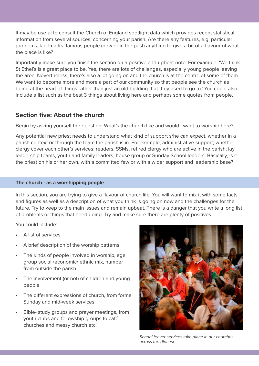It may be useful to consult the Church of England spotlight data which provides recent statistical information from several sources, concerning your parish. Are there any features, e.g. particular problems, landmarks, famous people (now or in the past) anything to give a bit of a flavour of what the place is like?

Importantly make sure you finish the section on a positive and upbeat note. For example: 'We think St Ethel's is a great place to be. Yes, there are lots of challenges, especially young people leaving the area. Nevertheless, there's also a lot going on and the church is at the centre of some of them. We want to become more and more a part of our community so that people see the church as being at the heart of things rather than just an old building that they used to go to.' You could also include a list such as the best 3 things about living here and perhaps some quotes from people.

#### **Section five: About the church**

Begin by asking yourself the question: What's the church like and would I want to worship here?

Any potential new priest needs to understand what kind of support s/he can expect, whether in a parish context or through the team the parish is in. For example, administrative support; whether clergy cover each other's services; readers, SSMs, retired clergy who are active in the parish; lay leadership teams, youth and family leaders, house group or Sunday School leaders. Basically, is it the priest on his or her own, with a committed few or with a wider support and leadership base?

#### **The church - as a worshipping people**

In this section, you are trying to give a flavour of church life. You will want to mix it with some facts and figures as well as a description of what you think is going on now and the challenges for the future. Try to keep to the main issues and remain upbeat. There is a danger that you write a long list of problems or things that need doing. Try and make sure there are plenty of positives.

You could include:

- A list of services
- A brief description of the worship patterns
- The kinds of people involved in worship, age group social /economic/ ethnic mix, number from outside the parish
- The involvement (or not) of children and young people
- The different expressions of church, from formal Sunday and mid-week services
- Bible- study groups and prayer meetings, from youth clubs and fellowship groups to café churches and messy church etc.



School leaver services take place in our churches across the diocese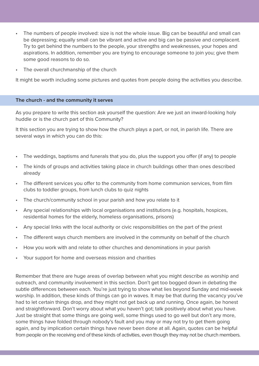- The numbers of people involved: size is not the whole issue. Big can be beautiful and small can be depressing; equally small can be vibrant and active and big can be passive and complacent. Try to get behind the numbers to the people, your strengths and weaknesses, your hopes and aspirations. In addition, remember you are trying to encourage someone to join you; give them some good reasons to do so.
- The overall churchmanship of the church

It might be worth including some pictures and quotes from people doing the activities you describe.

#### **The church - and the community it serves**

As you prepare to write this section ask yourself the question: Are we just an inward-looking holy huddle or is the church part of this Community?

It this section you are trying to show how the church plays a part, or not, in parish life. There are several ways in which you can do this:

- The weddings, baptisms and funerals that you do, plus the support you offer (if any) to people
- The kinds of groups and activities taking place in church buildings other than ones described already
- The different services you offer to the community from home communion services, from film clubs to toddler groups, from lunch clubs to quiz nights
- The church/community school in your parish and how you relate to it
- Any special relationships with local organisations and institutions (e.g. hospitals, hospices, residential homes for the elderly, homeless organisations, prisons)
- Any special links with the local authority or civic responsibilities on the part of the priest
- The different ways church members are involved in the community on behalf of the church
- How you work with and relate to other churches and denominations in your parish
- Your support for home and overseas mission and charities

Remember that there are huge areas of overlap between what you might describe as worship and outreach, and community involvement in this section. Don't get too bogged down in debating the subtle differences between each. You're just trying to show what lies beyond Sunday and mid-week worship. In addition, these kinds of things can go in waves. It may be that during the vacancy you've had to let certain things drop, and they might not get back up and running. Once again, be honest and straightforward. Don't worry about what you haven't got; talk positively about what you have. Just be straight that some things are going well, some things used to go well but don't any more, some things have folded through nobody's fault and you may or may not try to get them going again, and by implication certain things have never been done at all. Again, quotes can be helpful from people on the receiving end of these kinds of activities, even though they may not be church members.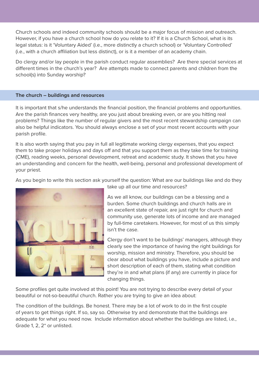Church schools and indeed community schools should be a major focus of mission and outreach. However, if you have a church school how do you relate to it? If it is a Church School, what is its legal status: is it 'Voluntary Aided' (i.e., more distinctly a church school) or 'Voluntary Controlled' (i.e., with a church affiliation but less distinct), or is it a member of an academy chain.

Do clergy and/or lay people in the parish conduct regular assemblies? Are there special services at different times in the church's year? Are attempts made to connect parents and children from the school(s) into Sunday worship?

#### **The church – buildings and resources**

It is important that s/he understands the financial position, the financial problems and opportunities. Are the parish finances very healthy, are you just about breaking even, or are you hitting real problems? Things like the number of regular givers and the most recent stewardship campaign can also be helpful indicators. You should always enclose a set of your most recent accounts with your parish profile.

It is also worth saying that you pay in full all legitimate working clergy expenses, that you expect them to take proper holidays and days off and that you support them as they take time for training (CME), reading weeks, personal development, retreat and academic study. It shows that you have an understanding and concern for the health, well-being, personal and professional development of your priest.

As you begin to write this section ask yourself the question: What are our buildings like and do they



take up all our time and resources?

As we all know, our buildings can be a blessing and a burden. Some church buildings and church halls are in an excellent state of repair, are just right for church and community use, generate lots of income and are managed by full-time caretakers. However, for most of us this simply isn't the case.

Clergy don't want to be buildings' managers, although they clearly see the importance of having the right buildings for worship, mission and ministry. Therefore, you should be clear about what buildings you have, include a picture and short description of each of them, stating what condition they're in and what plans (if any) are currently in place for changing things.

Some profiles get quite involved at this point! You are not trying to describe every detail of your beautiful or not-so-beautiful church. Rather you are trying to give an idea about:

The condition of the buildings. Be honest. There may be a lot of work to do in the first couple of years to get things right. If so, say so. Otherwise try and demonstrate that the buildings are adequate for what you need now. Include information about whether the buildings are listed, i.e., Grade 1, 2, 2\* or unlisted.